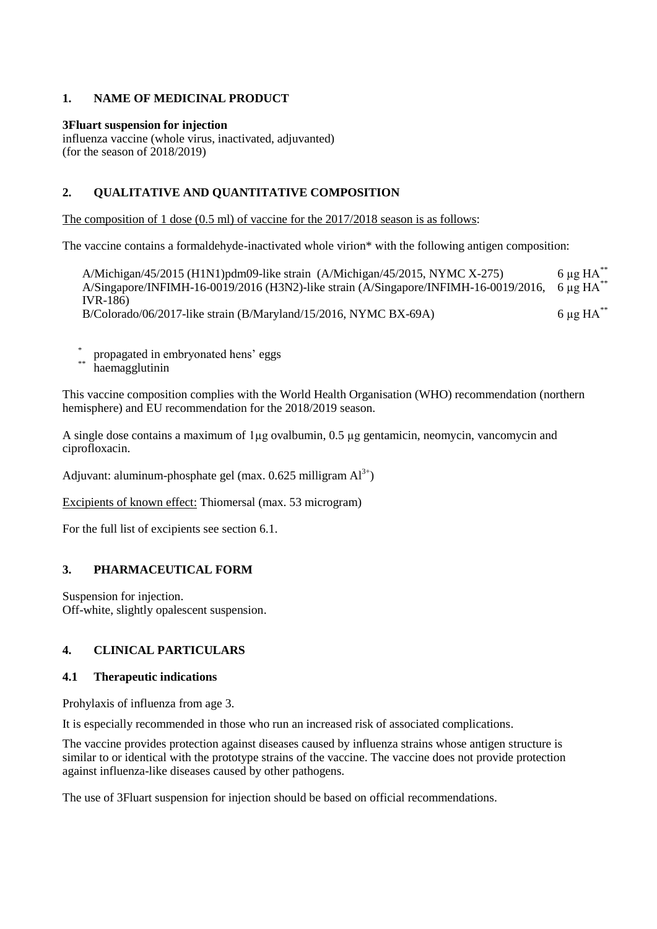# **1. NAME OF MEDICINAL PRODUCT**

#### **3Fluart suspension for injection**

influenza vaccine (whole virus, inactivated, adjuvanted) (for the season of 2018/2019)

### **2. QUALITATIVE AND QUANTITATIVE COMPOSITION**

The composition of 1 dose (0.5 ml) of vaccine for the 2017/2018 season is as follows:

The vaccine contains a formaldehyde-inactivated whole virion\* with the following antigen composition:

A/Michigan/45/2015 (H1N1)pdm09-like strain  $(A/Michigan/45/2015, NYMC X-275)$  6 µg HA<sup>\*\*</sup> A/Singapore/INFIMH-16-0019/2016 (H3N2)-like strain (A/Singapore/INFIMH-16-0019/2016, IVR-186)  $6 \mu g H A^*$ B/Colorado/06/2017-like strain (B/Maryland/15/2016, NYMC BX-69A) 6 µg HA<sup>\*\*</sup>

- \* propagated in embryonated hens' eggs
- haemagglutinin

This vaccine composition complies with the World Health Organisation (WHO) recommendation (northern hemisphere) and EU recommendation for the 2018/2019 season.

A single dose contains a maximum of  $1\mu$ g ovalbumin, 0.5  $\mu$ g gentamicin, neomycin, vancomycin and ciprofloxacin.

Adjuvant: aluminum-phosphate gel (max.  $0.625$  milligram  $Al^{3+}$ )

Excipients of known effect: Thiomersal (max. 53 microgram)

For the full list of excipients see section 6.1.

### **3. PHARMACEUTICAL FORM**

Suspension for injection. Off-white, slightly opalescent suspension.

# **4. CLINICAL PARTICULARS**

#### **4.1 Therapeutic indications**

Prohylaxis of influenza from age 3.

It is especially recommended in those who run an increased risk of associated complications.

The vaccine provides protection against diseases caused by influenza strains whose antigen structure is similar to or identical with the prototype strains of the vaccine. The vaccine does not provide protection against influenza-like diseases caused by other pathogens.

The use of 3Fluart suspension for injection should be based on official recommendations.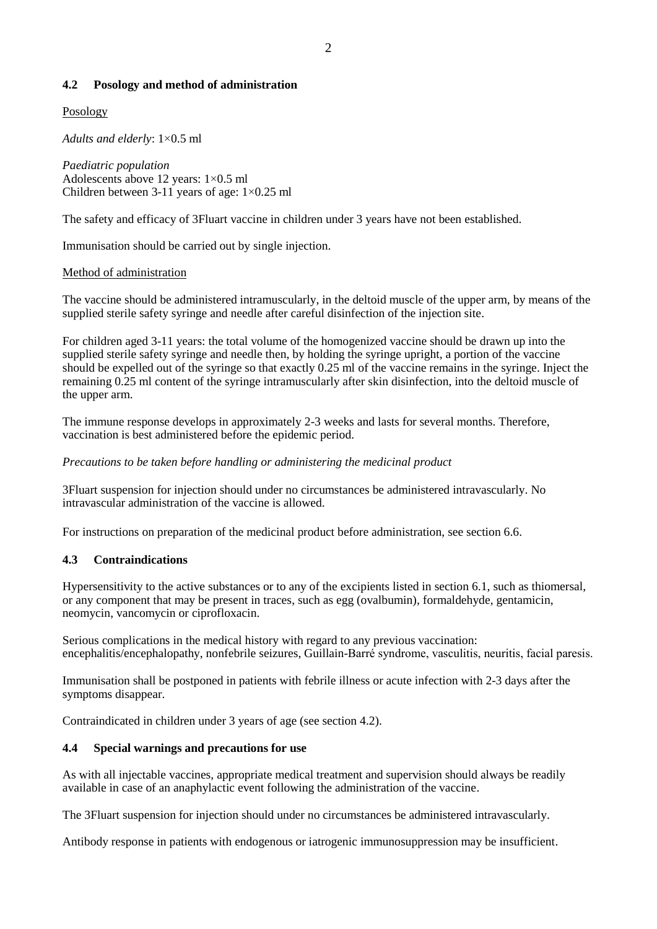### **4.2 Posology and method of administration**

### Posology

*Adults and elderly*: 1×0.5 ml

*Paediatric population* Adolescents above 12 years: 1×0.5 ml Children between 3-11 years of age: 1×0.25 ml

The safety and efficacy of 3Fluart vaccine in children under 3 years have not been established.

Immunisation should be carried out by single injection.

#### Method of administration

The vaccine should be administered intramuscularly, in the deltoid muscle of the upper arm, by means of the supplied sterile safety syringe and needle after careful disinfection of the injection site.

For children aged 3-11 years: the total volume of the homogenized vaccine should be drawn up into the supplied sterile safety syringe and needle then, by holding the syringe upright, a portion of the vaccine should be expelled out of the syringe so that exactly 0.25 ml of the vaccine remains in the syringe. Inject the remaining 0.25 ml content of the syringe intramuscularly after skin disinfection, into the deltoid muscle of the upper arm.

The immune response develops in approximately 2-3 weeks and lasts for several months. Therefore, vaccination is best administered before the epidemic period.

#### *Precautions to be taken before handling or administering the medicinal product*

3Fluart suspension for injection should under no circumstances be administered intravascularly. No intravascular administration of the vaccine is allowed.

For instructions on preparation of the medicinal product before administration, see section 6.6.

### **4.3 Contraindications**

Hypersensitivity to the active substances or to any of the excipients listed in section 6.1, such as thiomersal, or any component that may be present in traces, such as egg (ovalbumin), formaldehyde, gentamicin, neomycin, vancomycin or ciprofloxacin.

Serious complications in the medical history with regard to any previous vaccination: encephalitis/encephalopathy, nonfebrile seizures, Guillain-Barré syndrome, vasculitis, neuritis, facial paresis.

Immunisation shall be postponed in patients with febrile illness or acute infection with 2-3 days after the symptoms disappear.

Contraindicated in children under 3 years of age (see section 4.2).

#### **4.4 Special warnings and precautions for use**

As with all injectable vaccines, appropriate medical treatment and supervision should always be readily available in case of an anaphylactic event following the administration of the vaccine.

The 3Fluart suspension for injection should under no circumstances be administered intravascularly.

Antibody response in patients with endogenous or iatrogenic immunosuppression may be insufficient.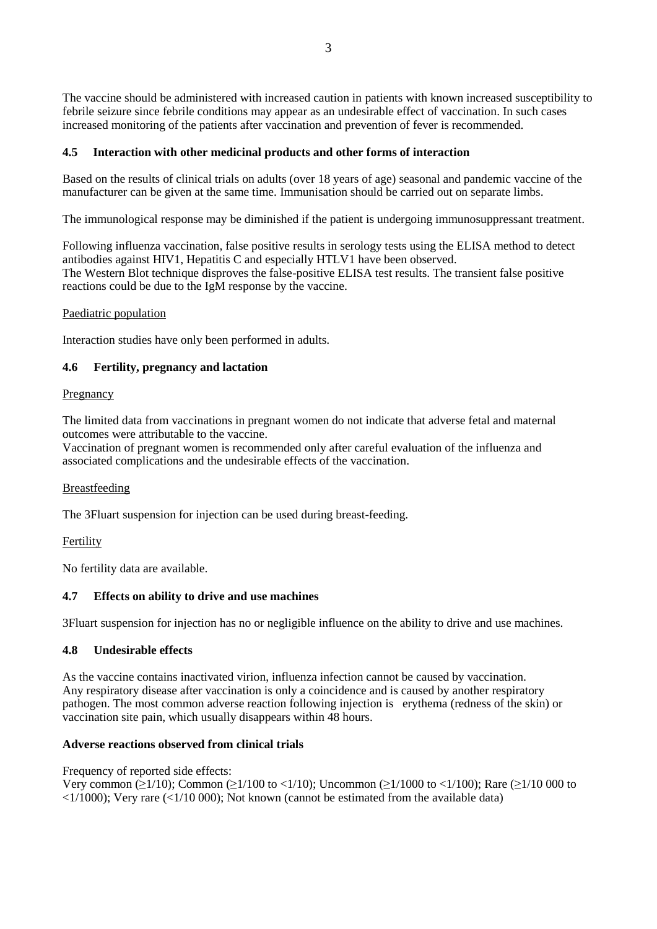The vaccine should be administered with increased caution in patients with known increased susceptibility to febrile seizure since febrile conditions may appear as an undesirable effect of vaccination. In such cases increased monitoring of the patients after vaccination and prevention of fever is recommended.

## **4.5 Interaction with other medicinal products and other forms of interaction**

Based on the results of clinical trials on adults (over 18 years of age) seasonal and pandemic vaccine of the manufacturer can be given at the same time. Immunisation should be carried out on separate limbs.

The immunological response may be diminished if the patient is undergoing immunosuppressant treatment.

Following influenza vaccination, false positive results in serology tests using the ELISA method to detect antibodies against HIV1, Hepatitis C and especially HTLV1 have been observed. The Western Blot technique disproves the false-positive ELISA test results. The transient false positive reactions could be due to the IgM response by the vaccine.

### Paediatric population

Interaction studies have only been performed in adults.

## **4.6 Fertility, pregnancy and lactation**

### Pregnancy

The limited data from vaccinations in pregnant women do not indicate that adverse fetal and maternal outcomes were attributable to the vaccine.

Vaccination of pregnant women is recommended only after careful evaluation of the influenza and associated complications and the undesirable effects of the vaccination.

### **Breastfeeding**

The 3Fluart suspension for injection can be used during breast-feeding.

### Fertility

No fertility data are available.

# **4.7 Effects on ability to drive and use machines**

3Fluart suspension for injection has no or negligible influence on the ability to drive and use machines.

# **4.8 Undesirable effects**

As the vaccine contains inactivated virion, influenza infection cannot be caused by vaccination. Any respiratory disease after vaccination is only a coincidence and is caused by another respiratory pathogen. The most common adverse reaction following injection is erythema (redness of the skin) or vaccination site pain, which usually disappears within 48 hours.

### **Adverse reactions observed from clinical trials**

Frequency of reported side effects:

Very common (≥1/10); Common (≥1/100 to <1/10); Uncommon (≥1/1000 to <1/100); Rare (≥1/10 000 to  $\langle 1/1000 \rangle$ ; Very rare ( $\langle 1/10000 \rangle$ ; Not known (cannot be estimated from the available data)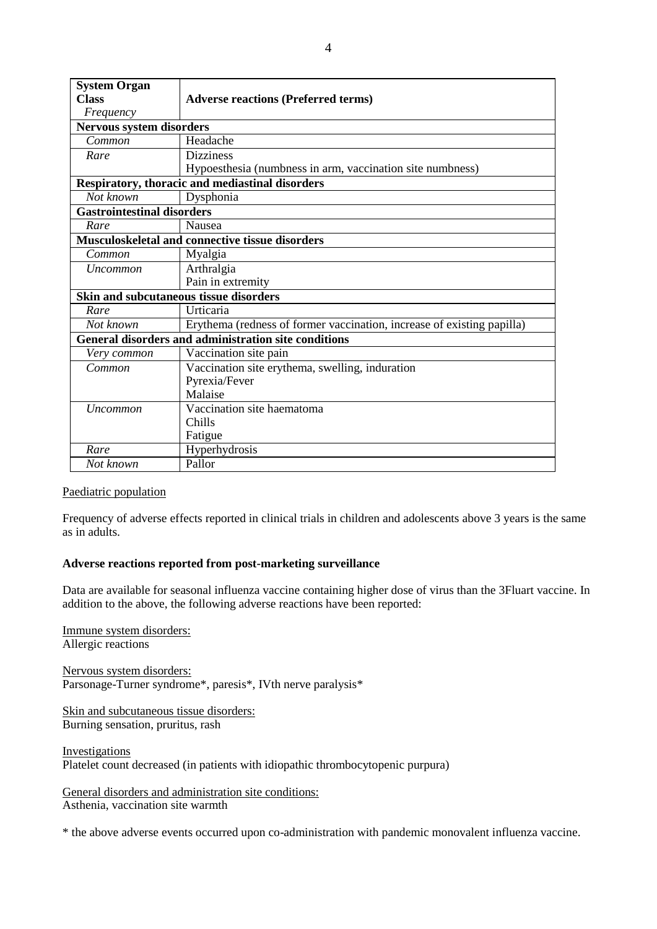| <b>System Organ</b>                                         |                                                                        |  |  |
|-------------------------------------------------------------|------------------------------------------------------------------------|--|--|
| <b>Class</b>                                                | <b>Adverse reactions (Preferred terms)</b>                             |  |  |
| Frequency                                                   |                                                                        |  |  |
| <b>Nervous system disorders</b>                             |                                                                        |  |  |
| Common                                                      | Headache                                                               |  |  |
| Rare                                                        | <b>Dizziness</b>                                                       |  |  |
|                                                             | Hypoesthesia (numbness in arm, vaccination site numbness)              |  |  |
| Respiratory, thoracic and mediastinal disorders             |                                                                        |  |  |
| Not known                                                   | Dysphonia                                                              |  |  |
| <b>Gastrointestinal disorders</b>                           |                                                                        |  |  |
| Rare                                                        | Nausea                                                                 |  |  |
| Musculoskeletal and connective tissue disorders             |                                                                        |  |  |
| Common                                                      | Myalgia                                                                |  |  |
| <i>Uncommon</i>                                             | Arthralgia                                                             |  |  |
|                                                             | Pain in extremity                                                      |  |  |
| Skin and subcutaneous tissue disorders                      |                                                                        |  |  |
| Rare                                                        | Urticaria                                                              |  |  |
| Not known                                                   | Erythema (redness of former vaccination, increase of existing papilla) |  |  |
| <b>General disorders and administration site conditions</b> |                                                                        |  |  |
| Very common                                                 | Vaccination site pain                                                  |  |  |
| Common                                                      | Vaccination site erythema, swelling, induration                        |  |  |
|                                                             | Pyrexia/Fever                                                          |  |  |
|                                                             | Malaise                                                                |  |  |
| <i>Uncommon</i>                                             | Vaccination site haematoma                                             |  |  |
|                                                             | Chills                                                                 |  |  |
|                                                             | Fatigue                                                                |  |  |
| Rare                                                        | Hyperhydrosis                                                          |  |  |
| Not known                                                   | Pallor                                                                 |  |  |

### Paediatric population

Frequency of adverse effects reported in clinical trials in children and adolescents above 3 years is the same as in adults.

### **Adverse reactions reported from post-marketing surveillance**

Data are available for seasonal influenza vaccine containing higher dose of virus than the 3Fluart vaccine. In addition to the above, the following adverse reactions have been reported:

Immune system disorders: Allergic reactions

Nervous system disorders: Parsonage-Turner syndrome\*, paresis\*, IVth nerve paralysis\*

Skin and subcutaneous tissue disorders: Burning sensation, pruritus, rash

Investigations Platelet count decreased (in patients with idiopathic thrombocytopenic purpura)

General disorders and administration site conditions: Asthenia, vaccination site warmth

\* the above adverse events occurred upon co-administration with pandemic monovalent influenza vaccine.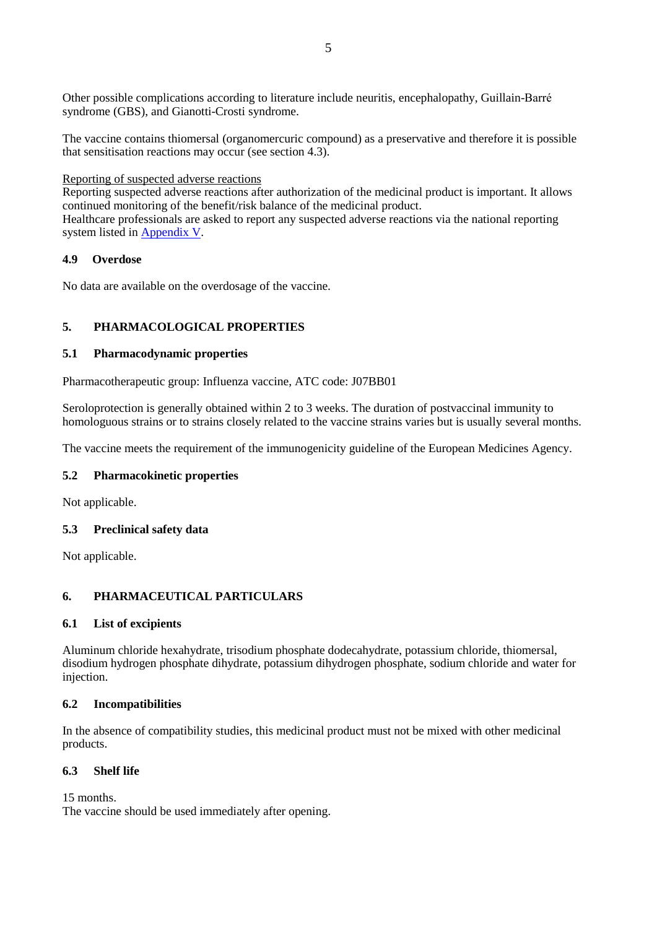Other possible complications according to literature include neuritis, encephalopathy, Guillain-Barré syndrome (GBS), and Gianotti-Crosti syndrome.

The vaccine contains thiomersal (organomercuric compound) as a preservative and therefore it is possible that sensitisation reactions may occur (see section 4.3).

#### Reporting of suspected adverse reactions

Reporting suspected adverse reactions after authorization of the medicinal product is important. It allows continued monitoring of the benefit/risk balance of the medicinal product.

Healthcare professionals are asked to report any suspected adverse reactions via the national reporting system listed in Appendix V.

### **4.9 Overdose**

No data are available on the overdosage of the vaccine.

## **5. PHARMACOLOGICAL PROPERTIES**

#### **5.1 Pharmacodynamic properties**

Pharmacotherapeutic group: Influenza vaccine, ATC code: J07BB01

Seroloprotection is generally obtained within 2 to 3 weeks. The duration of postvaccinal immunity to homologuous strains or to strains closely related to the vaccine strains varies but is usually several months.

The vaccine meets the requirement of the immunogenicity guideline of the European Medicines Agency.

### **5.2 Pharmacokinetic properties**

Not applicable.

### **5.3 Preclinical safety data**

Not applicable.

### **6. PHARMACEUTICAL PARTICULARS**

#### **6.1 List of excipients**

Aluminum chloride hexahydrate, trisodium phosphate dodecahydrate, potassium chloride, thiomersal, disodium hydrogen phosphate dihydrate, potassium dihydrogen phosphate, sodium chloride and water for injection.

### **6.2 Incompatibilities**

In the absence of compatibility studies, this medicinal product must not be mixed with other medicinal products.

## **6.3 Shelf life**

15 months.

The vaccine should be used immediately after opening.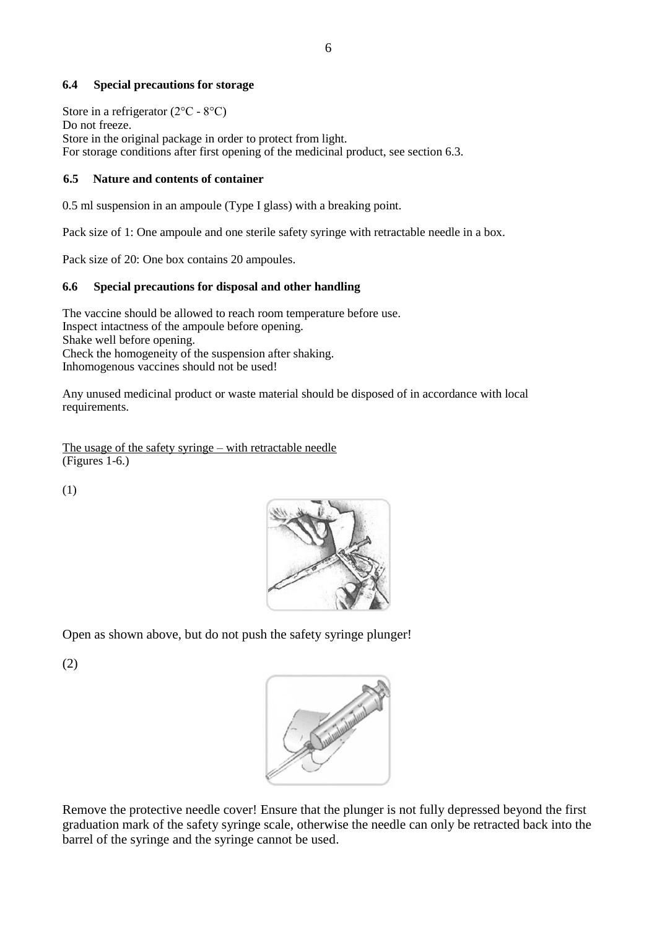### **6.4 Special precautions for storage**

Store in a refrigerator  $(2^{\circ}C - 8^{\circ}C)$ Do not freeze. Store in the original package in order to protect from light. For storage conditions after first opening of the medicinal product, see section 6.3.

## **6.5 Nature and contents of container**

0.5 ml suspension in an ampoule (Type I glass) with a breaking point.

Pack size of 1: One ampoule and one sterile safety syringe with retractable needle in a box.

Pack size of 20: One box contains 20 ampoules.

## **6.6 Special precautions for disposal and other handling**

The vaccine should be allowed to reach room temperature before use. Inspect intactness of the ampoule before opening. Shake well before opening. Check the homogeneity of the suspension after shaking. Inhomogenous vaccines should not be used!

Any unused medicinal product or waste material should be disposed of in accordance with local requirements.

The usage of the safety syringe – with retractable needle (Figures 1-6.)

(1)



Open as shown above, but do not push the safety syringe plunger!

(2)



Remove the protective needle cover! Ensure that the plunger is not fully depressed beyond the first graduation mark of the safety syringe scale, otherwise the needle can only be retracted back into the barrel of the syringe and the syringe cannot be used.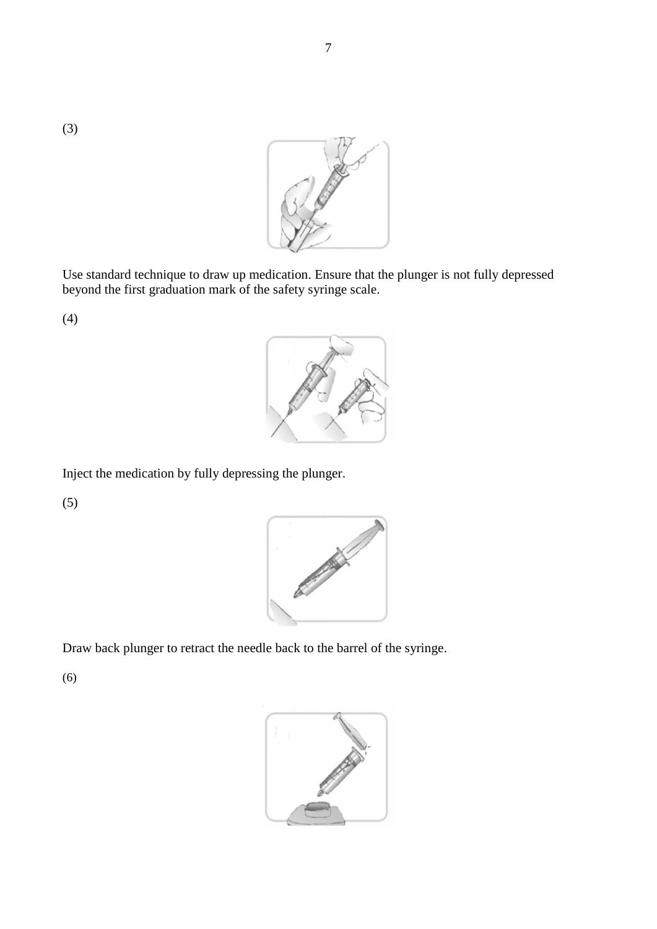(3)



Use standard technique to draw up medication. Ensure that the plunger is not fully depressed beyond the first graduation mark of the safety syringe scale.

(4)



Inject the medication by fully depressing the plunger.

(5)



Draw back plunger to retract the needle back to the barrel of the syringe.

(6)